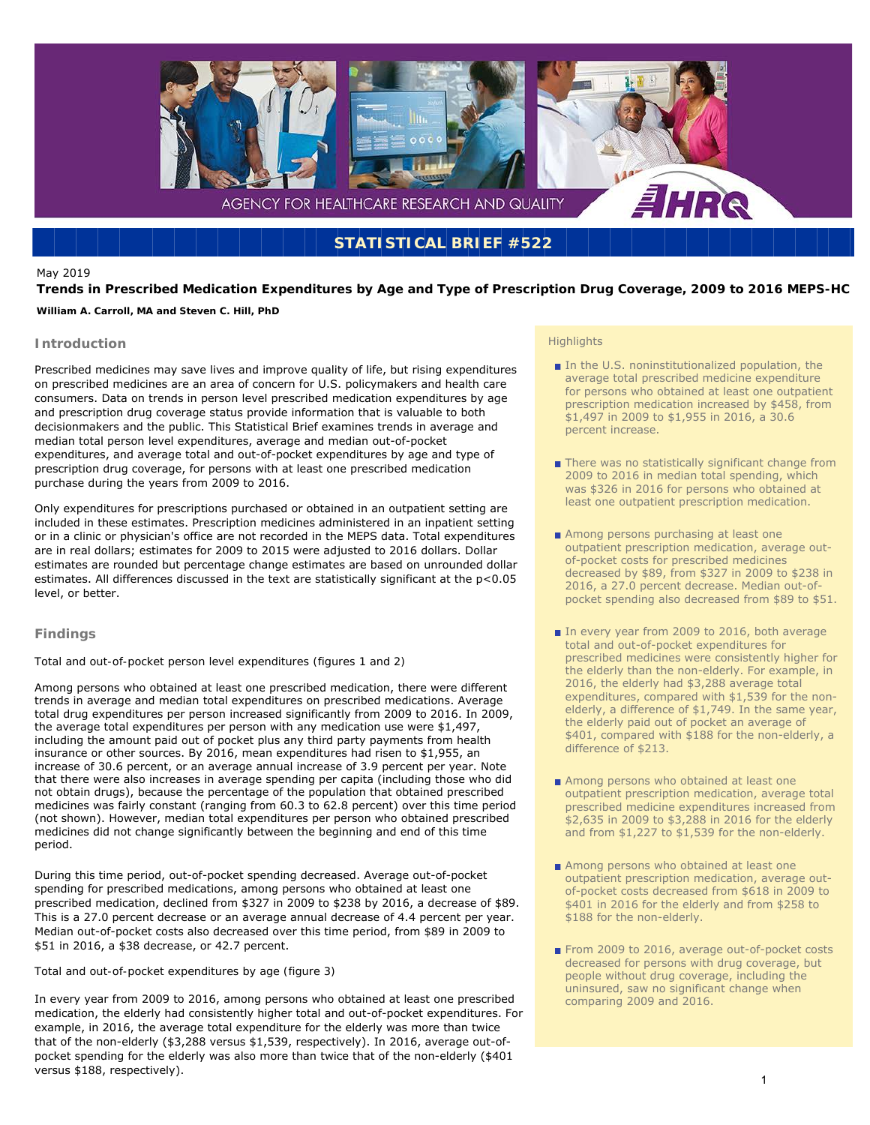

## **STATISTICAL BRIEF #522**

## May 2019

**Trends in Prescribed Medication Expenditures by Age and Type of Prescription Drug Coverage, 2009 to 2016 MEPS-HC**  *William A. Carroll, MA and Steven C. Hill, PhD* 

# **Introduction**

Prescribed medicines may save lives and improve quality of life, but rising expenditures on prescribed medicines are an area of concern for U.S. policymakers and health care consumers. Data on trends in person level prescribed medication expenditures by age and prescription drug coverage status provide information that is valuable to both decisionmakers and the public. This Statistical Brief examines trends in average and median total person level expenditures, average and median out-of-pocket expenditures, and average total and out-of-pocket expenditures by age and type of prescription drug coverage, for persons with at least one prescribed medication purchase during the years from 2009 to 2016.

Only expenditures for prescriptions purchased or obtained in an outpatient setting are included in these estimates. Prescription medicines administered in an inpatient setting or in a clinic or physician's office are not recorded in the MEPS data. Total expenditures are in real dollars; estimates for 2009 to 2015 were adjusted to 2016 dollars. Dollar estimates are rounded but percentage change estimates are based on unrounded dollar estimates. All differences discussed in the text are statistically significant at the p<0.05 level, or better.

## **Findings**

## *Total and out-of-pocket person level expenditures (figures 1 and 2)*

Among persons who obtained at least one prescribed medication, there were different trends in average and median total expenditures on prescribed medications. Average total drug expenditures per person increased significantly from 2009 to 2016. In 2009, the average total expenditures per person with any medication use were \$1,497, including the amount paid out of pocket plus any third party payments from health insurance or other sources. By 2016, mean expenditures had risen to \$1,955, an increase of 30.6 percent, or an average annual increase of 3.9 percent per year. Note that there were also increases in average spending per capita (including those who did not obtain drugs), because the percentage of the population that obtained prescribed medicines was fairly constant (ranging from 60.3 to 62.8 percent) over this time period (not shown). However, median total expenditures per person who obtained prescribed medicines did not change significantly between the beginning and end of this time period.

During this time period, out-of-pocket spending decreased. Average out-of-pocket spending for prescribed medications, among persons who obtained at least one prescribed medication, declined from \$327 in 2009 to \$238 by 2016, a decrease of \$89. This is a 27.0 percent decrease or an average annual decrease of 4.4 percent per year. Median out-of-pocket costs also decreased over this time period, from \$89 in 2009 to \$51 in 2016, a \$38 decrease, or 42.7 percent.

## *Total and out-of-pocket expenditures by age (figure 3)*

In every year from 2009 to 2016, among persons who obtained at least one prescribed medication, the elderly had consistently higher total and out-of-pocket expenditures. For example, in 2016, the average total expenditure for the elderly was more than twice that of the non-elderly (\$3,288 versus \$1,539, respectively). In 2016, average out-ofpocket spending for the elderly was also more than twice that of the non-elderly (\$401 versus \$188, respectively).

#### **Highlights**

- In the U.S. noninstitutionalized population, the average total prescribed medicine expenditure for persons who obtained at least one outpatient prescription medication increased by \$458, from \$1,497 in 2009 to \$1,955 in 2016, a 30.6 percent increase.
- There was no statistically significant change from 2009 to 2016 in median total spending, which was \$326 in 2016 for persons who obtained at least one outpatient prescription medication.
- Among persons purchasing at least one outpatient prescription medication, average outof-pocket costs for prescribed medicines decreased by \$89, from \$327 in 2009 to \$238 in 2016, a 27.0 percent decrease. Median out-ofpocket spending also decreased from \$89 to \$51.
- In every year from 2009 to 2016, both average total and out-of-pocket expenditures for prescribed medicines were consistently higher for the elderly than the non-elderly. For example, in 2016, the elderly had \$3,288 average total expenditures, compared with \$1,539 for the nonelderly, a difference of \$1,749. In the same year, the elderly paid out of pocket an average of \$401, compared with \$188 for the non-elderly, a difference of \$213.
- Among persons who obtained at least one outpatient prescription medication, average total prescribed medicine expenditures increased from \$2,635 in 2009 to \$3,288 in 2016 for the elderly and from \$1,227 to \$1,539 for the non-elderly.
- Among persons who obtained at least one outpatient prescription medication, average outof-pocket costs decreased from \$618 in 2009 to \$401 in 2016 for the elderly and from \$258 to \$188 for the non-elderly.
- From 2009 to 2016, average out-of-pocket costs decreased for persons with drug coverage, but people without drug coverage, including the uninsured, saw no significant change when comparing 2009 and 2016.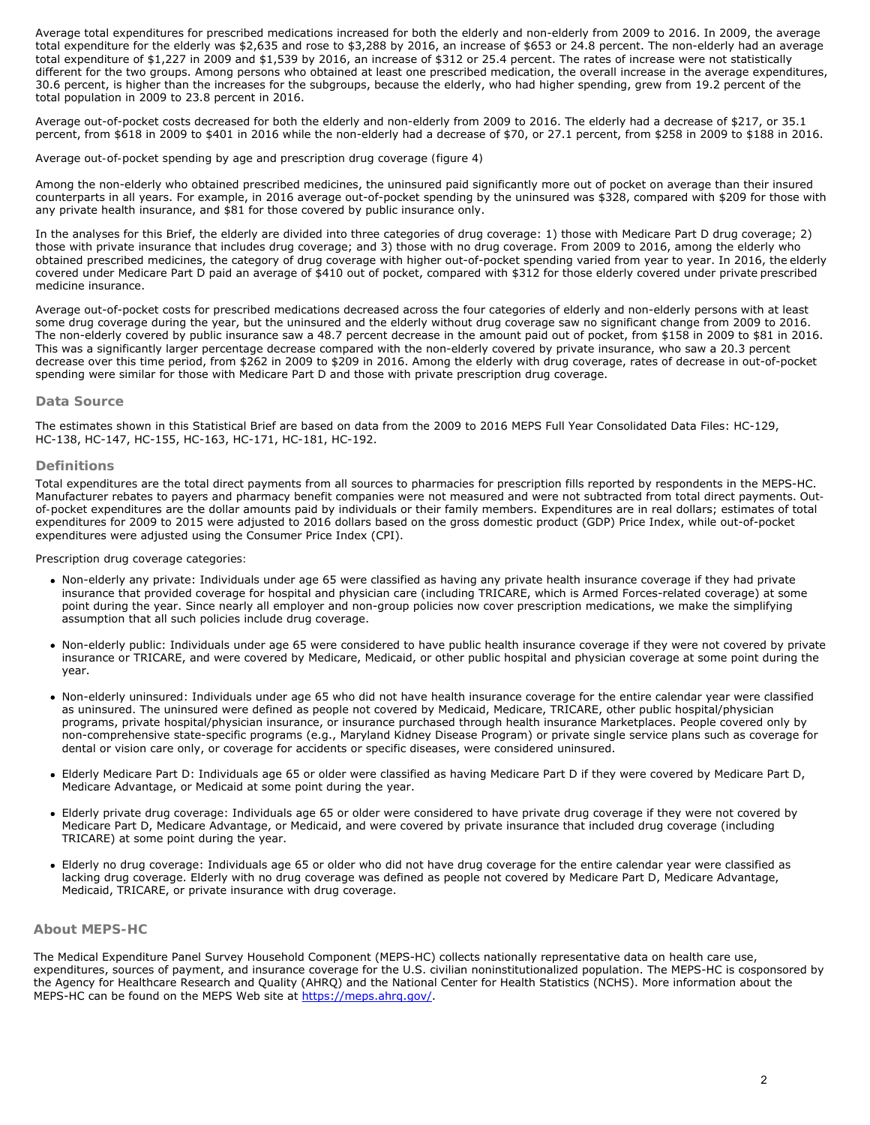Average total expenditures for prescribed medications increased for both the elderly and non-elderly from 2009 to 2016. In 2009, the average total expenditure for the elderly was \$2,635 and rose to \$3,288 by 2016, an increase of \$653 or 24.8 percent. The non-elderly had an average total expenditure of \$1,227 in 2009 and \$1,539 by 2016, an increase of \$312 or 25.4 percent. The rates of increase were not statistically different for the two groups. Among persons who obtained at least one prescribed medication, the overall increase in the average expenditures, 30.6 percent, is higher than the increases for the subgroups, because the elderly, who had higher spending, grew from 19.2 percent of the total population in 2009 to 23.8 percent in 2016.

Average out-of-pocket costs decreased for both the elderly and non-elderly from 2009 to 2016. The elderly had a decrease of \$217, or 35.1 percent, from \$618 in 2009 to \$401 in 2016 while the non-elderly had a decrease of \$70, or 27.1 percent, from \$258 in 2009 to \$188 in 2016.

#### *Average out-of-pocket spending by age and prescription drug coverage (figure 4)*

Among the non-elderly who obtained prescribed medicines, the uninsured paid significantly more out of pocket on average than their insured counterparts in all years. For example, in 2016 average out-of-pocket spending by the uninsured was \$328, compared with \$209 for those with any private health insurance, and \$81 for those covered by public insurance only.

In the analyses for this Brief, the elderly are divided into three categories of drug coverage: 1) those with Medicare Part D drug coverage; 2) those with private insurance that includes drug coverage; and 3) those with no drug coverage. From 2009 to 2016, among the elderly who obtained prescribed medicines, the category of drug coverage with higher out-of-pocket spending varied from year to year. In 2016, the elderly covered under Medicare Part D paid an average of \$410 out of pocket, compared with \$312 for those elderly covered under private prescribed medicine insurance.

Average out-of-pocket costs for prescribed medications decreased across the four categories of elderly and non-elderly persons with at least some drug coverage during the year, but the uninsured and the elderly without drug coverage saw no significant change from 2009 to 2016. The non-elderly covered by public insurance saw a 48.7 percent decrease in the amount paid out of pocket, from \$158 in 2009 to \$81 in 2016. This was a significantly larger percentage decrease compared with the non-elderly covered by private insurance, who saw a 20.3 percent decrease over this time period, from \$262 in 2009 to \$209 in 2016. Among the elderly with drug coverage, rates of decrease in out-of-pocket spending were similar for those with Medicare Part D and those with private prescription drug coverage.

## **Data Source**

The estimates shown in this Statistical Brief are based on data from the 2009 to 2016 MEPS Full Year Consolidated Data Files: HC-129, HC-138, HC-147, HC-155, HC-163, HC-171, HC-181, HC-192.

#### **Definitions**

*Total expenditures* are the total direct payments from all sources to pharmacies for prescription fills reported by respondents in the MEPS-HC. Manufacturer rebates to payers and pharmacy benefit companies were not measured and were not subtracted from total direct payments. *Outof-pocket expenditures* are the dollar amounts paid by individuals or their family members. Expenditures are in real dollars; estimates of total expenditures for 2009 to 2015 were adjusted to 2016 dollars based on the gross domestic product (GDP) Price Index, while out-of-pocket expenditures were adjusted using the Consumer Price Index (CPI).

*Prescription drug coverage categories:* 

- Non-elderly any private: Individuals under age 65 were classified as having any private health insurance coverage if they had private insurance that provided coverage for hospital and physician care (including TRICARE, which is Armed Forces-related coverage) at some point during the year. Since nearly all employer and non-group policies now cover prescription medications, we make the simplifying assumption that all such policies include drug coverage.
- Non-elderly public: Individuals under age 65 were considered to have public health insurance coverage if they were not covered by private insurance or TRICARE, and were covered by Medicare, Medicaid, or other public hospital and physician coverage at some point during the year.
- Non-elderly uninsured: Individuals under age 65 who did not have health insurance coverage for the entire calendar year were classified as uninsured. The uninsured were defined as people not covered by Medicaid, Medicare, TRICARE, other public hospital/physician programs, private hospital/physician insurance, or insurance purchased through health insurance Marketplaces. People covered only by non-comprehensive state-specific programs (e.g., Maryland Kidney Disease Program) or private single service plans such as coverage for dental or vision care only, or coverage for accidents or specific diseases, were considered uninsured.
- Elderly Medicare Part D: Individuals age 65 or older were classified as having Medicare Part D if they were covered by Medicare Part D, Medicare Advantage, or Medicaid at some point during the year.
- Elderly private drug coverage: Individuals age 65 or older were considered to have private drug coverage if they were not covered by Medicare Part D, Medicare Advantage, or Medicaid, and were covered by private insurance that included drug coverage (including TRICARE) at some point during the year.
- Elderly no drug coverage: Individuals age 65 or older who did not have drug coverage for the entire calendar year were classified as lacking drug coverage. Elderly with no drug coverage was defined as people not covered by Medicare Part D, Medicare Advantage, Medicaid, TRICARE, or private insurance with drug coverage.

## **About MEPS-HC**

The Medical Expenditure Panel Survey Household Component (MEPS-HC) collects nationally representative data on health care use, expenditures, sources of payment, and insurance coverage for the U.S. civilian noninstitutionalized population. The MEPS-HC is cosponsored by the Agency for Healthcare Research and Quality (AHRQ) and the National Center for Health Statistics (NCHS). More information about the MEPS-HC can be found on the MEPS Web site at <https://meps.ahrq.gov/>.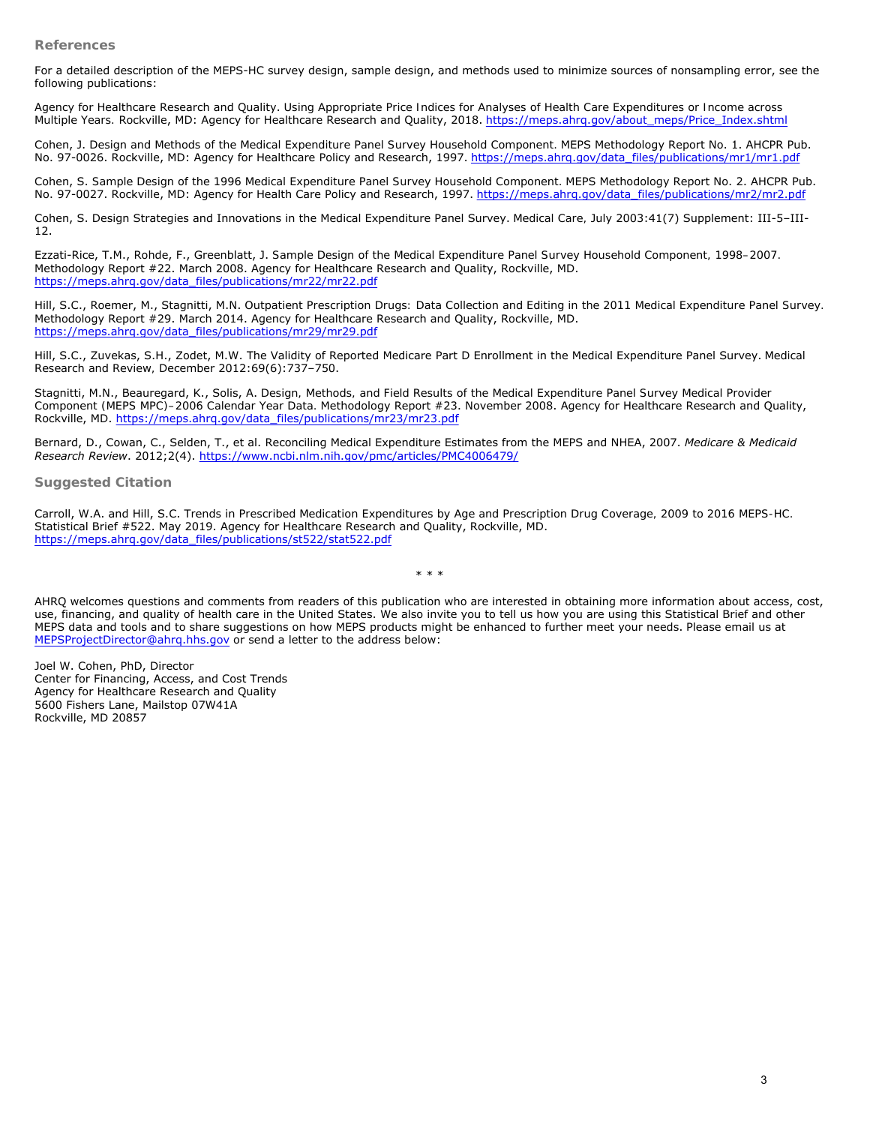**References** 

For a detailed description of the MEPS-HC survey design, sample design, and methods used to minimize sources of nonsampling error, see the following publications:

Agency for Healthcare Research and Quality. *Using Appropriate Price Indices for Analyses of Health Care Expenditures or Income across Multiple Years.* Rockville, MD: Agency for Healthcare Research and Quality, 2018. [https://meps.ahrq.gov/about\\_meps/Price\\_Index.shtml](https://meps.ahrq.gov/about_meps/Price_Index.shtml)

Cohen, J. *Design and Methods of the Medical Expenditure Panel Survey Household Component.* MEPS Methodology Report No. 1. AHCPR Pub. No. 97-0026. Rockville, MD: Agency for Healthcare Policy and Research, 1997. [https://meps.ahrq.gov/data\\_files/publications/mr1/mr1.pdf](https://meps.ahrq.gov/data_files/publications/mr1/mr1.pdf)

Cohen, S. Sample Design of the 1996 Medical Expenditure Panel Survey Household Component. MEPS Methodology Report No. 2. AHCPR Pub. No. 97-0027. Rockville, MD: Agency for Health Care Policy and Research, 1997. [https://meps.ahrq.gov/data\\_files/publications/mr2/mr2.pdf](https://meps.ahrq.gov/data_files/publications/mr2/mr2.pdf)

Cohen, S. Design Strategies and Innovations in the Medical Expenditure Panel Survey. *Medical Care,* July 2003:41(7) Supplement: III-5–III-12.

Ezzati-Rice, T.M., Rohde, F., Greenblatt, J. *Sample Design of the Medical Expenditure Panel Survey Household Component, 1998–2007.*  Methodology Report #22. March 2008. Agency for Healthcare Research and Quality, Rockville, MD. [https://meps.ahrq.gov/data\\_files/publications/mr22/mr22.pdf](https://meps.ahrq.gov/data_files/publications/mr22/mr22.pdf)

Hill, S.C., Roemer, M., Stagnitti, M.N. *Outpatient Prescription Drugs: Data Collection and Editing in the 2011 Medical Expenditure Panel Survey.*  Methodology Report #29. March 2014. Agency for Healthcare Research and Quality, Rockville, MD. [https://meps.ahrq.gov/data\\_files/publications/mr29/mr29.pdf](https://meps.ahrq.gov/data_files/publications/mr29/mr29.pdf)

Hill, S.C., Zuvekas, S.H., Zodet, M.W. The Validity of Reported Medicare Part D Enrollment in the Medical Expenditure Panel Survey. *Medical Research and Review,* December 2012:69(6):737–750.

Stagnitti, M.N., Beauregard, K., Solis, A. *Design, Methods, and Field Results of the Medical Expenditure Panel Survey Medical Provider Component (MEPS MPC)–2006 Calendar Year Data.* Methodology Report #23. November 2008. Agency for Healthcare Research and Quality, Rockville, MD. [https://meps.ahrq.gov/data\\_files/publications/mr23/mr23.pdf](https://meps.ahrq.gov/data_files/publications/mr23/mr23.pdf)

Bernard, D., Cowan, C., Selden, T., et al. Reconciling Medical Expenditure Estimates from the MEPS and NHEA, 2007. *Medicare & Medicaid Research Review*. 2012;2(4). <https://www.ncbi.nlm.nih.gov/pmc/articles/PMC4006479/>

**Suggested Citation** 

Carroll, W.A. and Hill, S.C. *Trends in Prescribed Medication Expenditures by Age and Prescription Drug Coverage, 2009 to 2016 MEPS-HC.*  Statistical Brief #522. May 2019. Agency for Healthcare Research and Quality, Rockville, MD. [https://meps.ahrq.gov/data\\_files/publications/st522/stat522.pdf](/mepsweb/data_files/publications/st522/stat522.pdf)

\* \* \*

AHRQ welcomes questions and comments from readers of this publication who are interested in obtaining more information about access, cost, use, financing, and quality of health care in the United States. We also invite you to tell us how you are using this Statistical Brief and other MEPS data and tools and to share suggestions on how MEPS products might be enhanced to further meet your needs. Please email us at [MEPSProjectDirector@ahrq.hhs.gov](mailto:MEPSProjectDirector@ahrq.hhs.gov) or send a letter to the address below:

Joel W. Cohen, PhD, Director Center for Financing, Access, and Cost Trends Agency for Healthcare Research and Quality 5600 Fishers Lane, Mailstop 07W41A Rockville, MD 20857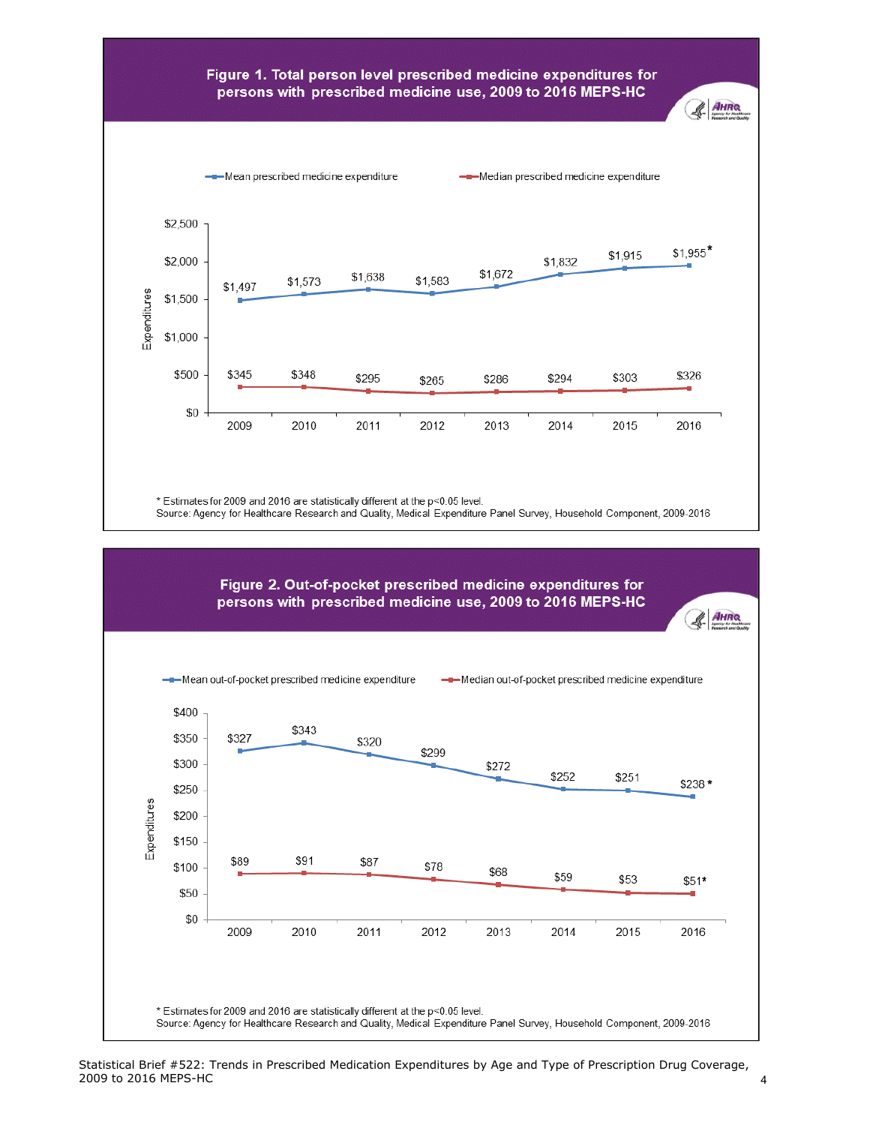## Figure 1. Total person level prescribed medicine expenditures for persons with prescribed medicine use, 2009 to 2016 MEPS-HC



\* Estimates for 2009 and 2016 are statistically different at the p<0.05 level.

Source: Agency for Healthcare Research and Quality, Medical Expenditure Panel Survey, Household Component, 2009-2016



& AHRO